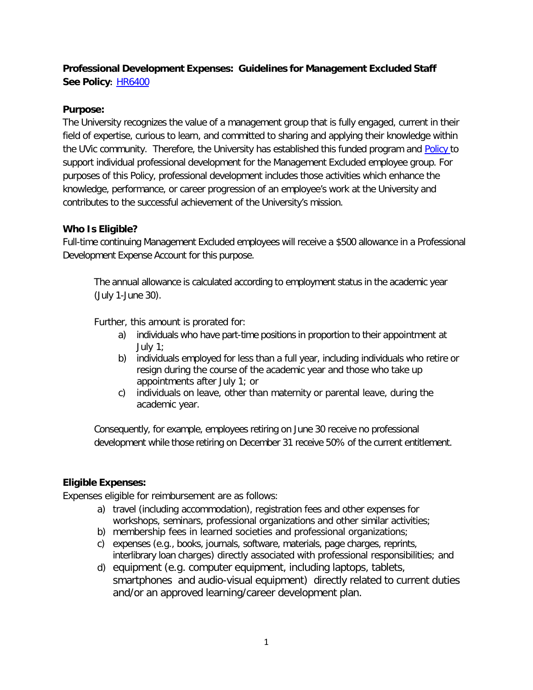# **Professional Development Expenses: Guidelines for Management Excluded Staff See Policy:** [HR6400](http://www.uvic.ca/universitysecretary/assets/docs/policies/HR6400_3910_.pdf)

### **Purpose:**

The University recognizes the value of a management group that is fully engaged, current in their field of expertise, curious to learn, and committed to sharing and applying their knowledge within the UVic community. Therefore, the University has established this funded program and [Policy](http://www.uvic.ca/universitysecretary/assets/docs/policies/HR6400_3910_.pdf) to support individual professional development for the Management Excluded employee group. For purposes of this Policy, professional development includes those activities which enhance the knowledge, performance, or career progression of an employee's work at the University and contributes to the successful achievement of the University's mission.

## **Who Is Eligible?**

Full-time continuing Management Excluded employees will receive a \$500 allowance in a Professional Development Expense Account for this purpose.

The annual allowance is calculated according to employment status in the academic year (July 1-June 30).

Further, this amount is prorated for:

- a) individuals who have part-time positions in proportion to their appointment at July 1;
- b) individuals employed for less than a full year, including individuals who retire or resign during the course of the academic year and those who take up appointments after July 1; or
- c) individuals on leave, other than maternity or parental leave, during the academic year.

Consequently, for example, employees retiring on June 30 receive no professional development while those retiring on December 31 receive 50% of the current entitlement.

# **Eligible Expenses:**

Expenses eligible for reimbursement are as follows:

- a) travel (including accommodation), registration fees and other expenses for workshops, seminars, professional organizations and other similar activities;
- b) membership fees in learned societies and professional organizations;
- c) expenses (e.g., books, journals, software, materials, page charges, reprints, interlibrary loan charges) directly associated with professional responsibilities; and
- d) equipment (e.g. computer equipment, including laptops, tablets, smartphones and audio-visual equipment) directly related to current duties and/or an approved learning/career development plan.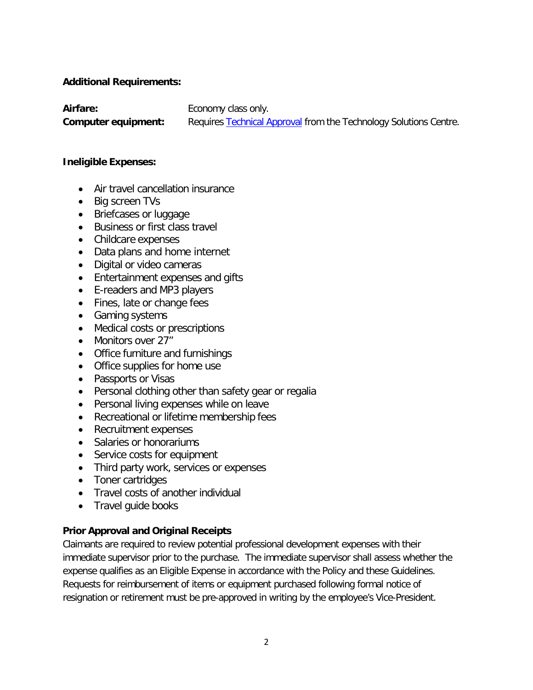### **Additional Requirements:**

**Airfare:**

Economy class only.

**Computer equipment:** Requires [Technical](https://www.uvic.ca/systems/support/computerssoftware/technologysolutions/desktops.php) Approval from the Technology Solutions Centre.

### **Ineligible Expenses:**

- Air travel cancellation insurance
- Big screen TVs
- Briefcases or luggage
- Business or first class travel
- Childcare expenses
- Data plans and home internet
- Digital or video cameras
- Entertainment expenses and gifts
- E-readers and MP3 players
- Fines, late or change fees
- Gaming systems
- Medical costs or prescriptions
- Monitors over 27"
- Office furniture and furnishings
- Office supplies for home use
- Passports or Visas
- Personal clothing other than safety gear or regalia
- Personal living expenses while on leave
- Recreational or lifetime membership fees
- Recruitment expenses
- Salaries or honorariums
- Service costs for equipment
- Third party work, services or expenses
- Toner cartridges
- Travel costs of another individual
- Travel quide books

### **Prior Approval and Original Receipts**

Claimants are required to review potential professional development expenses with their immediate supervisor prior to the purchase. The immediate supervisor shall assess whether the expense qualifies as an Eligible Expense in accordance with the Policy and these Guidelines. Requests for reimbursement of items or equipment purchased following formal notice of resignation or retirement must be pre-approved in writing by the employee's Vice-President.